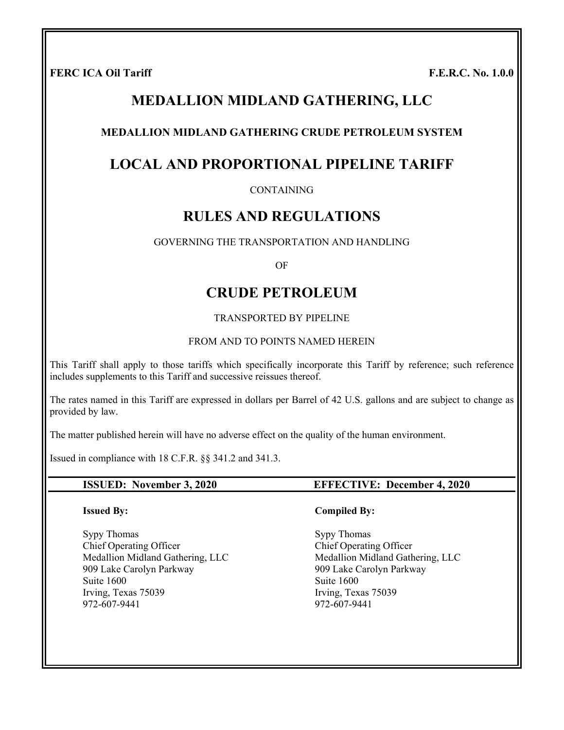FERC ICA Oil Tariff **F.E.R.C.** No. 1.0.0

# **MEDALLION MIDLAND GATHERING, LLC**

### **MEDALLION MIDLAND GATHERING CRUDE PETROLEUM SYSTEM**

# **LOCAL AND PROPORTIONAL PIPELINE TARIFF**

CONTAINING

# **RULES AND REGULATIONS**

GOVERNING THE TRANSPORTATION AND HANDLING

OF

# **CRUDE PETROLEUM**

TRANSPORTED BY PIPELINE

#### FROM AND TO POINTS NAMED HEREIN

This Tariff shall apply to those tariffs which specifically incorporate this Tariff by reference; such reference includes supplements to this Tariff and successive reissues thereof.

The rates named in this Tariff are expressed in dollars per Barrel of 42 U.S. gallons and are subject to change as provided by law.

The matter published herein will have no adverse effect on the quality of the human environment.

Issued in compliance with 18 C.F.R. §§ 341.2 and 341.3.

#### **Issued By:**

Sypy Thomas Chief Operating Officer Medallion Midland Gathering, LLC 909 Lake Carolyn Parkway Suite 1600 Irving, Texas 75039 972-607-9441

#### **ISSUED: November 3, 2020 EFFECTIVE: December 4, 2020**

#### **Compiled By:**

Sypy Thomas Chief Operating Officer Medallion Midland Gathering, LLC 909 Lake Carolyn Parkway Suite 1600 Irving, Texas 75039 972-607-9441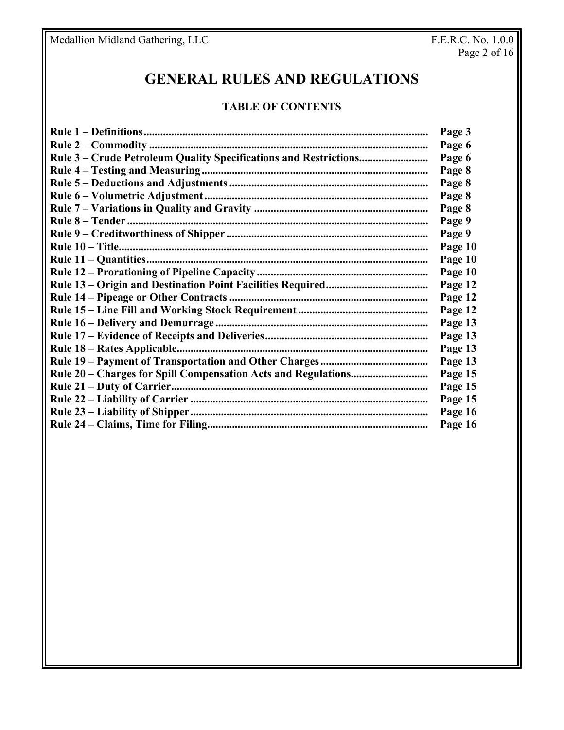# **GENERAL RULES AND REGULATIONS**

# **TABLE OF CONTENTS**

| Page 3  |
|---------|
| Page 6  |
| Page 6  |
| Page 8  |
| Page 8  |
| Page 8  |
| Page 8  |
| Page 9  |
| Page 9  |
| Page 10 |
| Page 10 |
| Page 10 |
| Page 12 |
| Page 12 |
| Page 12 |
| Page 13 |
| Page 13 |
| Page 13 |
| Page 13 |
| Page 15 |
| Page 15 |
| Page 15 |
| Page 16 |
| Page 16 |
|         |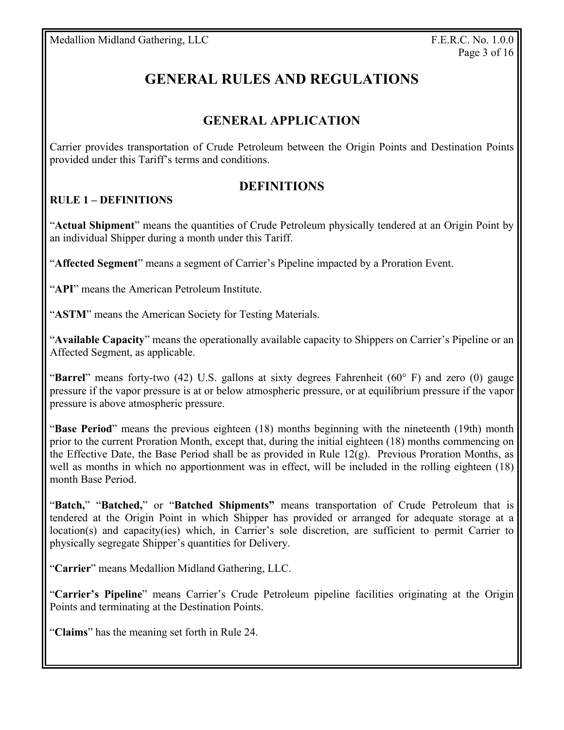# **GENERAL RULES AND REGULATIONS**

# **GENERAL APPLICATION**

Carrier provides transportation of Crude Petroleum between the Origin Points and Destination Points provided under this Tariff's terms and conditions.

# **DEFINITIONS**

# **RULE 1 – DEFINITIONS**

"**Actual Shipment**" means the quantities of Crude Petroleum physically tendered at an Origin Point by an individual Shipper during a month under this Tariff.

"**Affected Segment**" means a segment of Carrier's Pipeline impacted by a Proration Event.

"**API**" means the American Petroleum Institute.

"**ASTM**" means the American Society for Testing Materials.

"**Available Capacity**" means the operationally available capacity to Shippers on Carrier's Pipeline or an Affected Segment, as applicable.

"**Barrel**" means forty-two (42) U.S. gallons at sixty degrees Fahrenheit (60° F) and zero (0) gauge pressure if the vapor pressure is at or below atmospheric pressure, or at equilibrium pressure if the vapor pressure is above atmospheric pressure.

"**Base Period**" means the previous eighteen (18) months beginning with the nineteenth (19th) month prior to the current Proration Month, except that, during the initial eighteen (18) months commencing on the Effective Date, the Base Period shall be as provided in Rule  $12(g)$ . Previous Proration Months, as well as months in which no apportionment was in effect, will be included in the rolling eighteen (18) month Base Period.

"**Batch,**" "**Batched,**" or "**Batched Shipments"** means transportation of Crude Petroleum that is tendered at the Origin Point in which Shipper has provided or arranged for adequate storage at a location(s) and capacity(ies) which, in Carrier's sole discretion, are sufficient to permit Carrier to physically segregate Shipper's quantities for Delivery.

"**Carrier**" means Medallion Midland Gathering, LLC.

"**Carrier's Pipeline**" means Carrier's Crude Petroleum pipeline facilities originating at the Origin Points and terminating at the Destination Points.

"**Claims**" has the meaning set forth in Rule 24.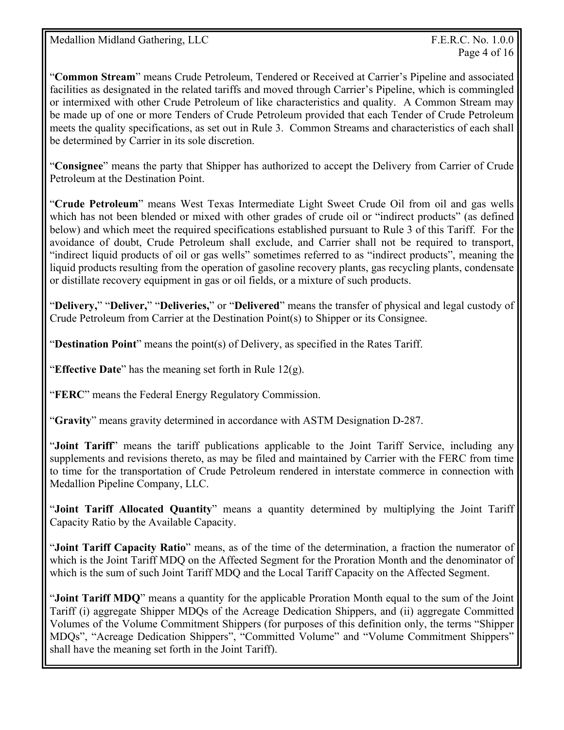"**Common Stream**" means Crude Petroleum, Tendered or Received at Carrier's Pipeline and associated facilities as designated in the related tariffs and moved through Carrier's Pipeline, which is commingled or intermixed with other Crude Petroleum of like characteristics and quality. A Common Stream may be made up of one or more Tenders of Crude Petroleum provided that each Tender of Crude Petroleum meets the quality specifications, as set out in Rule 3. Common Streams and characteristics of each shall be determined by Carrier in its sole discretion.

"**Consignee**" means the party that Shipper has authorized to accept the Delivery from Carrier of Crude Petroleum at the Destination Point.

"**Crude Petroleum**" means West Texas Intermediate Light Sweet Crude Oil from oil and gas wells which has not been blended or mixed with other grades of crude oil or "indirect products" (as defined below) and which meet the required specifications established pursuant to Rule 3 of this Tariff. For the avoidance of doubt, Crude Petroleum shall exclude, and Carrier shall not be required to transport, "indirect liquid products of oil or gas wells" sometimes referred to as "indirect products", meaning the liquid products resulting from the operation of gasoline recovery plants, gas recycling plants, condensate or distillate recovery equipment in gas or oil fields, or a mixture of such products.

"**Delivery,**" "**Deliver,**" "**Deliveries,**" or "**Delivered**" means the transfer of physical and legal custody of Crude Petroleum from Carrier at the Destination Point(s) to Shipper or its Consignee.

"**Destination Point**" means the point(s) of Delivery, as specified in the Rates Tariff.

"**Effective Date**" has the meaning set forth in Rule 12(g).

"**FERC**" means the Federal Energy Regulatory Commission.

"**Gravity**" means gravity determined in accordance with ASTM Designation D-287.

"**Joint Tariff**" means the tariff publications applicable to the Joint Tariff Service, including any supplements and revisions thereto, as may be filed and maintained by Carrier with the FERC from time to time for the transportation of Crude Petroleum rendered in interstate commerce in connection with Medallion Pipeline Company, LLC.

"**Joint Tariff Allocated Quantity**" means a quantity determined by multiplying the Joint Tariff Capacity Ratio by the Available Capacity.

"**Joint Tariff Capacity Ratio**" means, as of the time of the determination, a fraction the numerator of which is the Joint Tariff MDQ on the Affected Segment for the Proration Month and the denominator of which is the sum of such Joint Tariff MDQ and the Local Tariff Capacity on the Affected Segment.

"**Joint Tariff MDQ**" means a quantity for the applicable Proration Month equal to the sum of the Joint Tariff (i) aggregate Shipper MDQs of the Acreage Dedication Shippers, and (ii) aggregate Committed Volumes of the Volume Commitment Shippers (for purposes of this definition only, the terms "Shipper MDQs", "Acreage Dedication Shippers", "Committed Volume" and "Volume Commitment Shippers" shall have the meaning set forth in the Joint Tariff).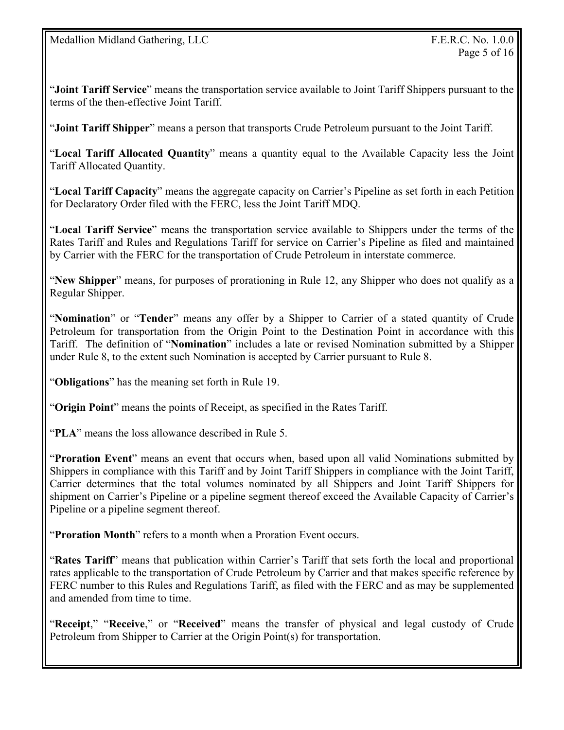"**Joint Tariff Service**" means the transportation service available to Joint Tariff Shippers pursuant to the terms of the then-effective Joint Tariff.

"**Joint Tariff Shipper**" means a person that transports Crude Petroleum pursuant to the Joint Tariff.

"**Local Tariff Allocated Quantity**" means a quantity equal to the Available Capacity less the Joint Tariff Allocated Quantity.

"**Local Tariff Capacity**" means the aggregate capacity on Carrier's Pipeline as set forth in each Petition for Declaratory Order filed with the FERC, less the Joint Tariff MDQ.

"**Local Tariff Service**" means the transportation service available to Shippers under the terms of the Rates Tariff and Rules and Regulations Tariff for service on Carrier's Pipeline as filed and maintained by Carrier with the FERC for the transportation of Crude Petroleum in interstate commerce.

"**New Shipper**" means, for purposes of prorationing in Rule 12, any Shipper who does not qualify as a Regular Shipper.

"**Nomination**" or "**Tender**" means any offer by a Shipper to Carrier of a stated quantity of Crude Petroleum for transportation from the Origin Point to the Destination Point in accordance with this Tariff. The definition of "**Nomination**" includes a late or revised Nomination submitted by a Shipper under Rule 8, to the extent such Nomination is accepted by Carrier pursuant to Rule 8.

"**Obligations**" has the meaning set forth in Rule 19.

"**Origin Point**" means the points of Receipt, as specified in the Rates Tariff.

"**PLA**" means the loss allowance described in Rule 5.

"**Proration Event**" means an event that occurs when, based upon all valid Nominations submitted by Shippers in compliance with this Tariff and by Joint Tariff Shippers in compliance with the Joint Tariff, Carrier determines that the total volumes nominated by all Shippers and Joint Tariff Shippers for shipment on Carrier's Pipeline or a pipeline segment thereof exceed the Available Capacity of Carrier's Pipeline or a pipeline segment thereof.

"**Proration Month**" refers to a month when a Proration Event occurs.

"**Rates Tariff**" means that publication within Carrier's Tariff that sets forth the local and proportional rates applicable to the transportation of Crude Petroleum by Carrier and that makes specific reference by FERC number to this Rules and Regulations Tariff, as filed with the FERC and as may be supplemented and amended from time to time.

"**Receipt**," "**Receive**," or "**Received**" means the transfer of physical and legal custody of Crude Petroleum from Shipper to Carrier at the Origin Point(s) for transportation.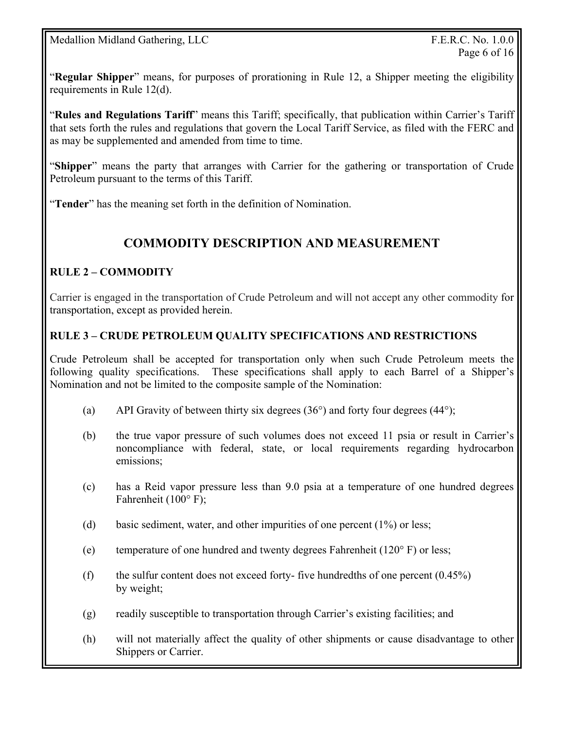"**Regular Shipper**" means, for purposes of prorationing in Rule 12, a Shipper meeting the eligibility requirements in Rule 12(d).

"**Rules and Regulations Tariff**" means this Tariff; specifically, that publication within Carrier's Tariff that sets forth the rules and regulations that govern the Local Tariff Service, as filed with the FERC and as may be supplemented and amended from time to time.

"**Shipper**" means the party that arranges with Carrier for the gathering or transportation of Crude Petroleum pursuant to the terms of this Tariff.

"**Tender**" has the meaning set forth in the definition of Nomination.

# **COMMODITY DESCRIPTION AND MEASUREMENT**

# **RULE 2 – COMMODITY**

Carrier is engaged in the transportation of Crude Petroleum and will not accept any other commodity for transportation, except as provided herein.

#### **RULE 3 – CRUDE PETROLEUM QUALITY SPECIFICATIONS AND RESTRICTIONS**

Crude Petroleum shall be accepted for transportation only when such Crude Petroleum meets the following quality specifications. These specifications shall apply to each Barrel of a Shipper's Nomination and not be limited to the composite sample of the Nomination:

- (a) API Gravity of between thirty six degrees  $(36^{\circ})$  and forty four degrees  $(44^{\circ})$ ;
- (b) the true vapor pressure of such volumes does not exceed 11 psia or result in Carrier's noncompliance with federal, state, or local requirements regarding hydrocarbon emissions;
- (c) has a Reid vapor pressure less than 9.0 psia at a temperature of one hundred degrees Fahrenheit (100° F);
- (d) basic sediment, water, and other impurities of one percent (1%) or less;
- (e) temperature of one hundred and twenty degrees Fahrenheit ( $120^\circ$  F) or less;
- (f) the sulfur content does not exceed forty- five hundredths of one percent  $(0.45\%)$ by weight;
- (g) readily susceptible to transportation through Carrier's existing facilities; and
- (h) will not materially affect the quality of other shipments or cause disadvantage to other Shippers or Carrier.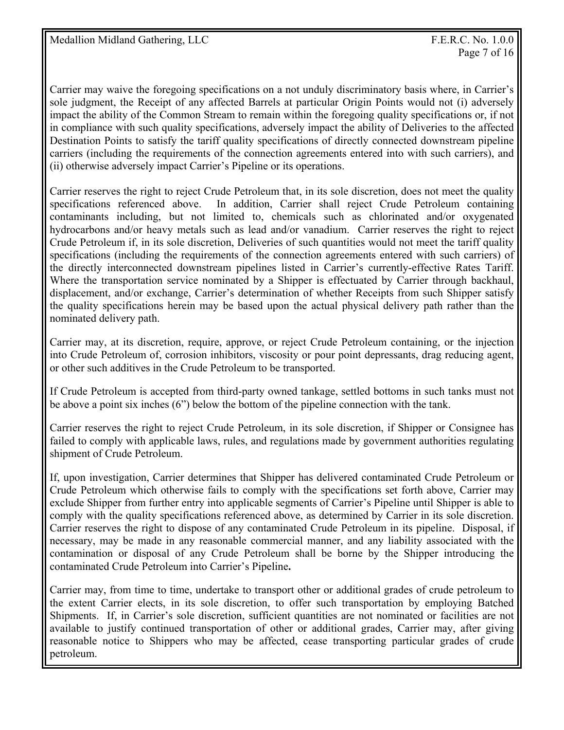Carrier may waive the foregoing specifications on a not unduly discriminatory basis where, in Carrier's sole judgment, the Receipt of any affected Barrels at particular Origin Points would not (i) adversely impact the ability of the Common Stream to remain within the foregoing quality specifications or, if not in compliance with such quality specifications, adversely impact the ability of Deliveries to the affected Destination Points to satisfy the tariff quality specifications of directly connected downstream pipeline carriers (including the requirements of the connection agreements entered into with such carriers), and (ii) otherwise adversely impact Carrier's Pipeline or its operations.

Carrier reserves the right to reject Crude Petroleum that, in its sole discretion, does not meet the quality specifications referenced above. In addition, Carrier shall reject Crude Petroleum containing contaminants including, but not limited to, chemicals such as chlorinated and/or oxygenated hydrocarbons and/or heavy metals such as lead and/or vanadium. Carrier reserves the right to reject Crude Petroleum if, in its sole discretion, Deliveries of such quantities would not meet the tariff quality specifications (including the requirements of the connection agreements entered with such carriers) of the directly interconnected downstream pipelines listed in Carrier's currently-effective Rates Tariff. Where the transportation service nominated by a Shipper is effectuated by Carrier through backhaul, displacement, and/or exchange, Carrier's determination of whether Receipts from such Shipper satisfy the quality specifications herein may be based upon the actual physical delivery path rather than the nominated delivery path.

Carrier may, at its discretion, require, approve, or reject Crude Petroleum containing, or the injection into Crude Petroleum of, corrosion inhibitors, viscosity or pour point depressants, drag reducing agent, or other such additives in the Crude Petroleum to be transported.

If Crude Petroleum is accepted from third-party owned tankage, settled bottoms in such tanks must not be above a point six inches (6") below the bottom of the pipeline connection with the tank.

Carrier reserves the right to reject Crude Petroleum, in its sole discretion, if Shipper or Consignee has failed to comply with applicable laws, rules, and regulations made by government authorities regulating shipment of Crude Petroleum.

If, upon investigation, Carrier determines that Shipper has delivered contaminated Crude Petroleum or Crude Petroleum which otherwise fails to comply with the specifications set forth above, Carrier may exclude Shipper from further entry into applicable segments of Carrier's Pipeline until Shipper is able to comply with the quality specifications referenced above, as determined by Carrier in its sole discretion. Carrier reserves the right to dispose of any contaminated Crude Petroleum in its pipeline. Disposal, if necessary, may be made in any reasonable commercial manner, and any liability associated with the contamination or disposal of any Crude Petroleum shall be borne by the Shipper introducing the contaminated Crude Petroleum into Carrier's Pipeline**.**

Carrier may, from time to time, undertake to transport other or additional grades of crude petroleum to the extent Carrier elects, in its sole discretion, to offer such transportation by employing Batched Shipments. If, in Carrier's sole discretion, sufficient quantities are not nominated or facilities are not available to justify continued transportation of other or additional grades, Carrier may, after giving reasonable notice to Shippers who may be affected, cease transporting particular grades of crude petroleum.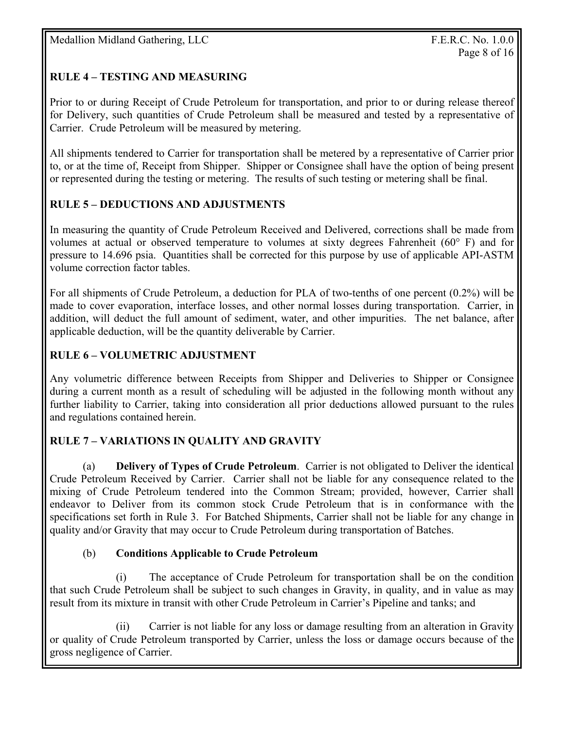# **RULE 4 – TESTING AND MEASURING**

Prior to or during Receipt of Crude Petroleum for transportation, and prior to or during release thereof for Delivery, such quantities of Crude Petroleum shall be measured and tested by a representative of Carrier. Crude Petroleum will be measured by metering.

All shipments tendered to Carrier for transportation shall be metered by a representative of Carrier prior to, or at the time of, Receipt from Shipper. Shipper or Consignee shall have the option of being present or represented during the testing or metering. The results of such testing or metering shall be final.

# **RULE 5 – DEDUCTIONS AND ADJUSTMENTS**

In measuring the quantity of Crude Petroleum Received and Delivered, corrections shall be made from volumes at actual or observed temperature to volumes at sixty degrees Fahrenheit ( $60^{\circ}$  F) and for pressure to 14.696 psia. Quantities shall be corrected for this purpose by use of applicable API-ASTM volume correction factor tables.

For all shipments of Crude Petroleum, a deduction for PLA of two-tenths of one percent (0.2%) will be made to cover evaporation, interface losses, and other normal losses during transportation. Carrier, in addition, will deduct the full amount of sediment, water, and other impurities. The net balance, after applicable deduction, will be the quantity deliverable by Carrier.

# **RULE 6 – VOLUMETRIC ADJUSTMENT**

Any volumetric difference between Receipts from Shipper and Deliveries to Shipper or Consignee during a current month as a result of scheduling will be adjusted in the following month without any further liability to Carrier, taking into consideration all prior deductions allowed pursuant to the rules and regulations contained herein.

# **RULE 7 – VARIATIONS IN QUALITY AND GRAVITY**

(a) **Delivery of Types of Crude Petroleum**. Carrier is not obligated to Deliver the identical Crude Petroleum Received by Carrier. Carrier shall not be liable for any consequence related to the mixing of Crude Petroleum tendered into the Common Stream; provided, however, Carrier shall endeavor to Deliver from its common stock Crude Petroleum that is in conformance with the specifications set forth in Rule 3. For Batched Shipments, Carrier shall not be liable for any change in quality and/or Gravity that may occur to Crude Petroleum during transportation of Batches.

### (b) **Conditions Applicable to Crude Petroleum**

 (i) The acceptance of Crude Petroleum for transportation shall be on the condition that such Crude Petroleum shall be subject to such changes in Gravity, in quality, and in value as may result from its mixture in transit with other Crude Petroleum in Carrier's Pipeline and tanks; and

 (ii) Carrier is not liable for any loss or damage resulting from an alteration in Gravity or quality of Crude Petroleum transported by Carrier, unless the loss or damage occurs because of the gross negligence of Carrier.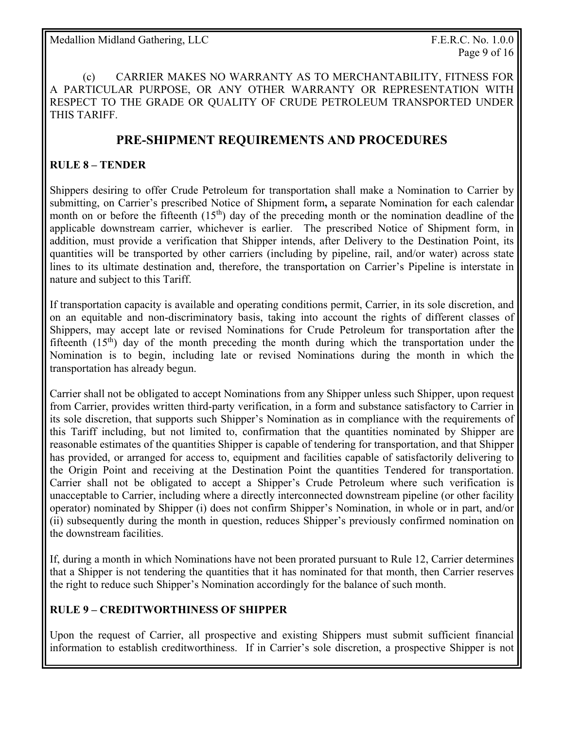(c) CARRIER MAKES NO WARRANTY AS TO MERCHANTABILITY, FITNESS FOR A PARTICULAR PURPOSE, OR ANY OTHER WARRANTY OR REPRESENTATION WITH RESPECT TO THE GRADE OR QUALITY OF CRUDE PETROLEUM TRANSPORTED UNDER THIS TARIFF.

# **PRE-SHIPMENT REQUIREMENTS AND PROCEDURES**

#### **RULE 8 – TENDER**

Shippers desiring to offer Crude Petroleum for transportation shall make a Nomination to Carrier by submitting, on Carrier's prescribed Notice of Shipment form**,** a separate Nomination for each calendar month on or before the fifteenth  $(15<sup>th</sup>)$  day of the preceding month or the nomination deadline of the applicable downstream carrier, whichever is earlier. The prescribed Notice of Shipment form, in addition, must provide a verification that Shipper intends, after Delivery to the Destination Point, its quantities will be transported by other carriers (including by pipeline, rail, and/or water) across state lines to its ultimate destination and, therefore, the transportation on Carrier's Pipeline is interstate in nature and subject to this Tariff.

If transportation capacity is available and operating conditions permit, Carrier, in its sole discretion, and on an equitable and non-discriminatory basis, taking into account the rights of different classes of Shippers, may accept late or revised Nominations for Crude Petroleum for transportation after the fifteenth  $(15<sup>th</sup>)$  day of the month preceding the month during which the transportation under the Nomination is to begin, including late or revised Nominations during the month in which the transportation has already begun.

Carrier shall not be obligated to accept Nominations from any Shipper unless such Shipper, upon request from Carrier, provides written third-party verification, in a form and substance satisfactory to Carrier in its sole discretion, that supports such Shipper's Nomination as in compliance with the requirements of this Tariff including, but not limited to, confirmation that the quantities nominated by Shipper are reasonable estimates of the quantities Shipper is capable of tendering for transportation, and that Shipper has provided, or arranged for access to, equipment and facilities capable of satisfactorily delivering to the Origin Point and receiving at the Destination Point the quantities Tendered for transportation. Carrier shall not be obligated to accept a Shipper's Crude Petroleum where such verification is unacceptable to Carrier, including where a directly interconnected downstream pipeline (or other facility operator) nominated by Shipper (i) does not confirm Shipper's Nomination, in whole or in part, and/or (ii) subsequently during the month in question, reduces Shipper's previously confirmed nomination on the downstream facilities.

If, during a month in which Nominations have not been prorated pursuant to Rule 12, Carrier determines that a Shipper is not tendering the quantities that it has nominated for that month, then Carrier reserves the right to reduce such Shipper's Nomination accordingly for the balance of such month.

### **RULE 9 – CREDITWORTHINESS OF SHIPPER**

Upon the request of Carrier, all prospective and existing Shippers must submit sufficient financial information to establish creditworthiness. If in Carrier's sole discretion, a prospective Shipper is not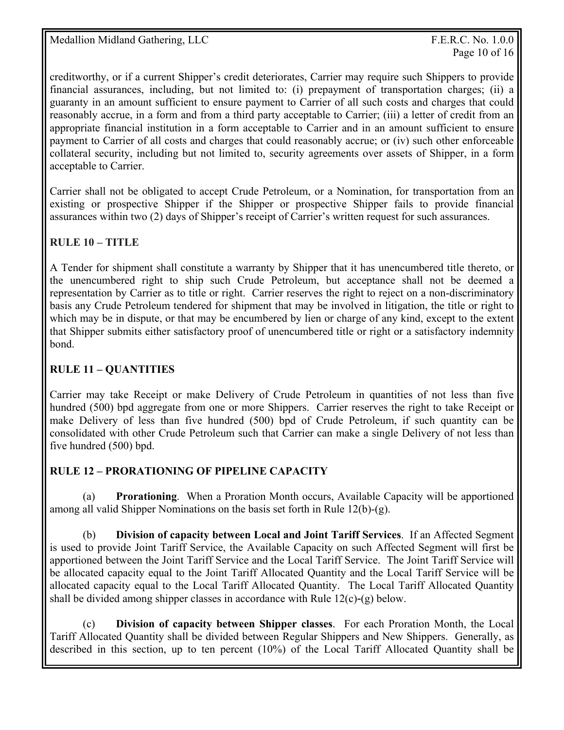creditworthy, or if a current Shipper's credit deteriorates, Carrier may require such Shippers to provide financial assurances, including, but not limited to: (i) prepayment of transportation charges; (ii) a guaranty in an amount sufficient to ensure payment to Carrier of all such costs and charges that could reasonably accrue, in a form and from a third party acceptable to Carrier; (iii) a letter of credit from an appropriate financial institution in a form acceptable to Carrier and in an amount sufficient to ensure payment to Carrier of all costs and charges that could reasonably accrue; or (iv) such other enforceable collateral security, including but not limited to, security agreements over assets of Shipper, in a form acceptable to Carrier.

Carrier shall not be obligated to accept Crude Petroleum, or a Nomination, for transportation from an existing or prospective Shipper if the Shipper or prospective Shipper fails to provide financial assurances within two (2) days of Shipper's receipt of Carrier's written request for such assurances.

# **RULE 10 – TITLE**

A Tender for shipment shall constitute a warranty by Shipper that it has unencumbered title thereto, or the unencumbered right to ship such Crude Petroleum, but acceptance shall not be deemed a representation by Carrier as to title or right. Carrier reserves the right to reject on a non-discriminatory basis any Crude Petroleum tendered for shipment that may be involved in litigation, the title or right to which may be in dispute, or that may be encumbered by lien or charge of any kind, except to the extent that Shipper submits either satisfactory proof of unencumbered title or right or a satisfactory indemnity bond.

# **RULE 11 – QUANTITIES**

Carrier may take Receipt or make Delivery of Crude Petroleum in quantities of not less than five hundred (500) bpd aggregate from one or more Shippers. Carrier reserves the right to take Receipt or make Delivery of less than five hundred (500) bpd of Crude Petroleum, if such quantity can be consolidated with other Crude Petroleum such that Carrier can make a single Delivery of not less than five hundred (500) bpd.

### **RULE 12 – PRORATIONING OF PIPELINE CAPACITY**

 (a) **Prorationing**. When a Proration Month occurs, Available Capacity will be apportioned among all valid Shipper Nominations on the basis set forth in Rule 12(b)-(g).

(b) **Division of capacity between Local and Joint Tariff Services**. If an Affected Segment is used to provide Joint Tariff Service, the Available Capacity on such Affected Segment will first be apportioned between the Joint Tariff Service and the Local Tariff Service. The Joint Tariff Service will be allocated capacity equal to the Joint Tariff Allocated Quantity and the Local Tariff Service will be allocated capacity equal to the Local Tariff Allocated Quantity. The Local Tariff Allocated Quantity shall be divided among shipper classes in accordance with Rule 12(c)-(g) below.

 (c) **Division of capacity between Shipper classes**. For each Proration Month, the Local Tariff Allocated Quantity shall be divided between Regular Shippers and New Shippers. Generally, as described in this section, up to ten percent (10%) of the Local Tariff Allocated Quantity shall be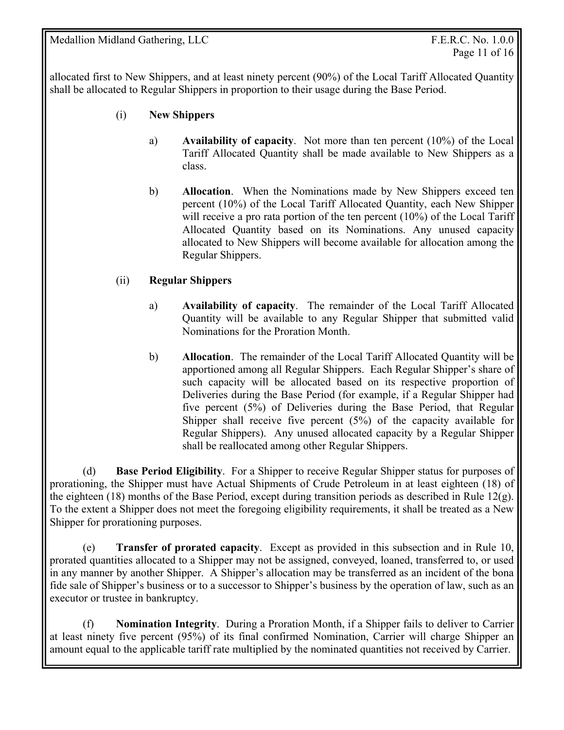allocated first to New Shippers, and at least ninety percent (90%) of the Local Tariff Allocated Quantity shall be allocated to Regular Shippers in proportion to their usage during the Base Period.

- (i) **New Shippers** 
	- a) **Availability of capacity**. Not more than ten percent (10%) of the Local Tariff Allocated Quantity shall be made available to New Shippers as a class.
	- b) **Allocation**. When the Nominations made by New Shippers exceed ten percent (10%) of the Local Tariff Allocated Quantity, each New Shipper will receive a pro rata portion of the ten percent (10%) of the Local Tariff Allocated Quantity based on its Nominations. Any unused capacity allocated to New Shippers will become available for allocation among the Regular Shippers.

### (ii) **Regular Shippers**

- a) **Availability of capacity**. The remainder of the Local Tariff Allocated Quantity will be available to any Regular Shipper that submitted valid Nominations for the Proration Month.
- b) **Allocation**. The remainder of the Local Tariff Allocated Quantity will be apportioned among all Regular Shippers. Each Regular Shipper's share of such capacity will be allocated based on its respective proportion of Deliveries during the Base Period (for example, if a Regular Shipper had five percent (5%) of Deliveries during the Base Period, that Regular Shipper shall receive five percent (5%) of the capacity available for Regular Shippers). Any unused allocated capacity by a Regular Shipper shall be reallocated among other Regular Shippers.

 (d) **Base Period Eligibility**. For a Shipper to receive Regular Shipper status for purposes of prorationing, the Shipper must have Actual Shipments of Crude Petroleum in at least eighteen (18) of the eighteen (18) months of the Base Period, except during transition periods as described in Rule 12(g). To the extent a Shipper does not meet the foregoing eligibility requirements, it shall be treated as a New Shipper for prorationing purposes.

 (e) **Transfer of prorated capacity**. Except as provided in this subsection and in Rule 10, prorated quantities allocated to a Shipper may not be assigned, conveyed, loaned, transferred to, or used in any manner by another Shipper. A Shipper's allocation may be transferred as an incident of the bona fide sale of Shipper's business or to a successor to Shipper's business by the operation of law, such as an executor or trustee in bankruptcy.

 (f) **Nomination Integrity**. During a Proration Month, if a Shipper fails to deliver to Carrier at least ninety five percent (95%) of its final confirmed Nomination, Carrier will charge Shipper an amount equal to the applicable tariff rate multiplied by the nominated quantities not received by Carrier.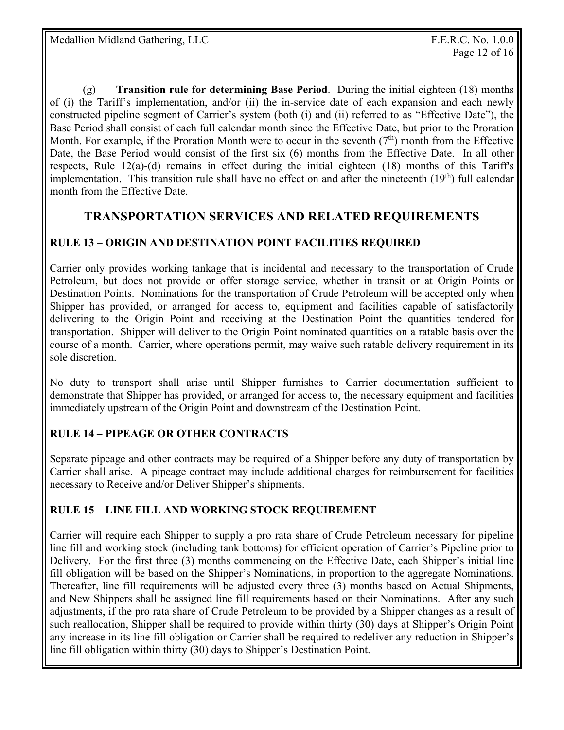(g) **Transition rule for determining Base Period**. During the initial eighteen (18) months of (i) the Tariff's implementation, and/or (ii) the in-service date of each expansion and each newly constructed pipeline segment of Carrier's system (both (i) and (ii) referred to as "Effective Date"), the Base Period shall consist of each full calendar month since the Effective Date, but prior to the Proration Month. For example, if the Proration Month were to occur in the seventh  $(7<sup>th</sup>)$  month from the Effective Date, the Base Period would consist of the first six (6) months from the Effective Date. In all other respects, Rule 12(a)-(d) remains in effect during the initial eighteen (18) months of this Tariff's implementation. This transition rule shall have no effect on and after the nineteenth  $(19<sup>th</sup>)$  full calendar month from the Effective Date.

# **TRANSPORTATION SERVICES AND RELATED REQUIREMENTS**

# **RULE 13 – ORIGIN AND DESTINATION POINT FACILITIES REQUIRED**

Carrier only provides working tankage that is incidental and necessary to the transportation of Crude Petroleum, but does not provide or offer storage service, whether in transit or at Origin Points or Destination Points. Nominations for the transportation of Crude Petroleum will be accepted only when Shipper has provided, or arranged for access to, equipment and facilities capable of satisfactorily delivering to the Origin Point and receiving at the Destination Point the quantities tendered for transportation. Shipper will deliver to the Origin Point nominated quantities on a ratable basis over the course of a month. Carrier, where operations permit, may waive such ratable delivery requirement in its sole discretion.

No duty to transport shall arise until Shipper furnishes to Carrier documentation sufficient to demonstrate that Shipper has provided, or arranged for access to, the necessary equipment and facilities immediately upstream of the Origin Point and downstream of the Destination Point.

# **RULE 14** *–* **PIPEAGE OR OTHER CONTRACTS**

Separate pipeage and other contracts may be required of a Shipper before any duty of transportation by Carrier shall arise. A pipeage contract may include additional charges for reimbursement for facilities necessary to Receive and/or Deliver Shipper's shipments.

# **RULE 15 – LINE FILL AND WORKING STOCK REQUIREMENT**

Carrier will require each Shipper to supply a pro rata share of Crude Petroleum necessary for pipeline line fill and working stock (including tank bottoms) for efficient operation of Carrier's Pipeline prior to Delivery. For the first three (3) months commencing on the Effective Date, each Shipper's initial line fill obligation will be based on the Shipper's Nominations, in proportion to the aggregate Nominations. Thereafter, line fill requirements will be adjusted every three (3) months based on Actual Shipments, and New Shippers shall be assigned line fill requirements based on their Nominations. After any such adjustments, if the pro rata share of Crude Petroleum to be provided by a Shipper changes as a result of such reallocation, Shipper shall be required to provide within thirty (30) days at Shipper's Origin Point any increase in its line fill obligation or Carrier shall be required to redeliver any reduction in Shipper's line fill obligation within thirty (30) days to Shipper's Destination Point.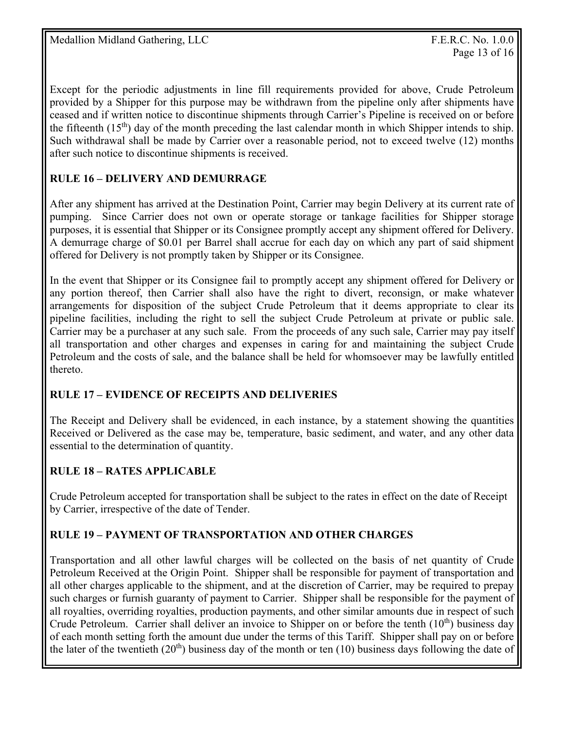Except for the periodic adjustments in line fill requirements provided for above, Crude Petroleum provided by a Shipper for this purpose may be withdrawn from the pipeline only after shipments have ceased and if written notice to discontinue shipments through Carrier's Pipeline is received on or before the fifteenth  $(15<sup>th</sup>)$  day of the month preceding the last calendar month in which Shipper intends to ship. Such withdrawal shall be made by Carrier over a reasonable period, not to exceed twelve (12) months after such notice to discontinue shipments is received.

# **RULE 16 – DELIVERY AND DEMURRAGE**

After any shipment has arrived at the Destination Point, Carrier may begin Delivery at its current rate of pumping. Since Carrier does not own or operate storage or tankage facilities for Shipper storage purposes, it is essential that Shipper or its Consignee promptly accept any shipment offered for Delivery. A demurrage charge of \$0.01 per Barrel shall accrue for each day on which any part of said shipment offered for Delivery is not promptly taken by Shipper or its Consignee.

In the event that Shipper or its Consignee fail to promptly accept any shipment offered for Delivery or any portion thereof, then Carrier shall also have the right to divert, reconsign, or make whatever arrangements for disposition of the subject Crude Petroleum that it deems appropriate to clear its pipeline facilities, including the right to sell the subject Crude Petroleum at private or public sale. Carrier may be a purchaser at any such sale. From the proceeds of any such sale, Carrier may pay itself all transportation and other charges and expenses in caring for and maintaining the subject Crude Petroleum and the costs of sale, and the balance shall be held for whomsoever may be lawfully entitled thereto.

### **RULE 17 – EVIDENCE OF RECEIPTS AND DELIVERIES**

The Receipt and Delivery shall be evidenced, in each instance, by a statement showing the quantities Received or Delivered as the case may be, temperature, basic sediment, and water, and any other data essential to the determination of quantity.

# **RULE 18 – RATES APPLICABLE**

Crude Petroleum accepted for transportation shall be subject to the rates in effect on the date of Receipt by Carrier, irrespective of the date of Tender.

# **RULE 19 – PAYMENT OF TRANSPORTATION AND OTHER CHARGES**

Transportation and all other lawful charges will be collected on the basis of net quantity of Crude Petroleum Received at the Origin Point. Shipper shall be responsible for payment of transportation and all other charges applicable to the shipment, and at the discretion of Carrier, may be required to prepay such charges or furnish guaranty of payment to Carrier. Shipper shall be responsible for the payment of all royalties, overriding royalties, production payments, and other similar amounts due in respect of such Crude Petroleum. Carrier shall deliver an invoice to Shipper on or before the tenth  $(10<sup>th</sup>)$  business day of each month setting forth the amount due under the terms of this Tariff. Shipper shall pay on or before the later of the twentieth  $(20<sup>th</sup>)$  business day of the month or ten (10) business days following the date of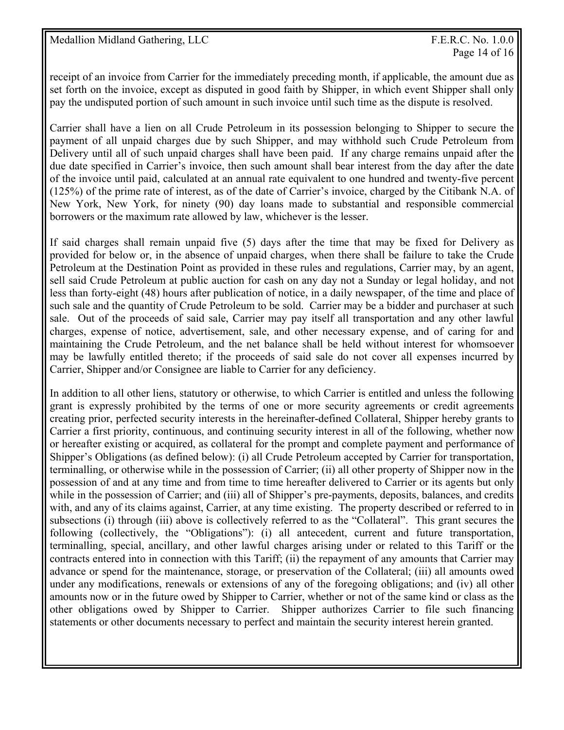receipt of an invoice from Carrier for the immediately preceding month, if applicable, the amount due as set forth on the invoice, except as disputed in good faith by Shipper, in which event Shipper shall only pay the undisputed portion of such amount in such invoice until such time as the dispute is resolved.

Carrier shall have a lien on all Crude Petroleum in its possession belonging to Shipper to secure the payment of all unpaid charges due by such Shipper, and may withhold such Crude Petroleum from Delivery until all of such unpaid charges shall have been paid. If any charge remains unpaid after the due date specified in Carrier's invoice, then such amount shall bear interest from the day after the date of the invoice until paid, calculated at an annual rate equivalent to one hundred and twenty-five percent (125%) of the prime rate of interest, as of the date of Carrier's invoice, charged by the Citibank N.A. of New York, New York, for ninety (90) day loans made to substantial and responsible commercial borrowers or the maximum rate allowed by law, whichever is the lesser.

If said charges shall remain unpaid five (5) days after the time that may be fixed for Delivery as provided for below or, in the absence of unpaid charges, when there shall be failure to take the Crude Petroleum at the Destination Point as provided in these rules and regulations, Carrier may, by an agent, sell said Crude Petroleum at public auction for cash on any day not a Sunday or legal holiday, and not less than forty-eight (48) hours after publication of notice, in a daily newspaper, of the time and place of such sale and the quantity of Crude Petroleum to be sold. Carrier may be a bidder and purchaser at such sale. Out of the proceeds of said sale, Carrier may pay itself all transportation and any other lawful charges, expense of notice, advertisement, sale, and other necessary expense, and of caring for and maintaining the Crude Petroleum, and the net balance shall be held without interest for whomsoever may be lawfully entitled thereto; if the proceeds of said sale do not cover all expenses incurred by Carrier, Shipper and/or Consignee are liable to Carrier for any deficiency.

In addition to all other liens, statutory or otherwise, to which Carrier is entitled and unless the following grant is expressly prohibited by the terms of one or more security agreements or credit agreements creating prior, perfected security interests in the hereinafter-defined Collateral, Shipper hereby grants to Carrier a first priority, continuous, and continuing security interest in all of the following, whether now or hereafter existing or acquired, as collateral for the prompt and complete payment and performance of Shipper's Obligations (as defined below): (i) all Crude Petroleum accepted by Carrier for transportation, terminalling, or otherwise while in the possession of Carrier; (ii) all other property of Shipper now in the possession of and at any time and from time to time hereafter delivered to Carrier or its agents but only while in the possession of Carrier; and (iii) all of Shipper's pre-payments, deposits, balances, and credits with, and any of its claims against, Carrier, at any time existing. The property described or referred to in subsections (i) through (iii) above is collectively referred to as the "Collateral". This grant secures the following (collectively, the "Obligations"): (i) all antecedent, current and future transportation, terminalling, special, ancillary, and other lawful charges arising under or related to this Tariff or the contracts entered into in connection with this Tariff; (ii) the repayment of any amounts that Carrier may advance or spend for the maintenance, storage, or preservation of the Collateral; (iii) all amounts owed under any modifications, renewals or extensions of any of the foregoing obligations; and (iv) all other amounts now or in the future owed by Shipper to Carrier, whether or not of the same kind or class as the other obligations owed by Shipper to Carrier. Shipper authorizes Carrier to file such financing statements or other documents necessary to perfect and maintain the security interest herein granted.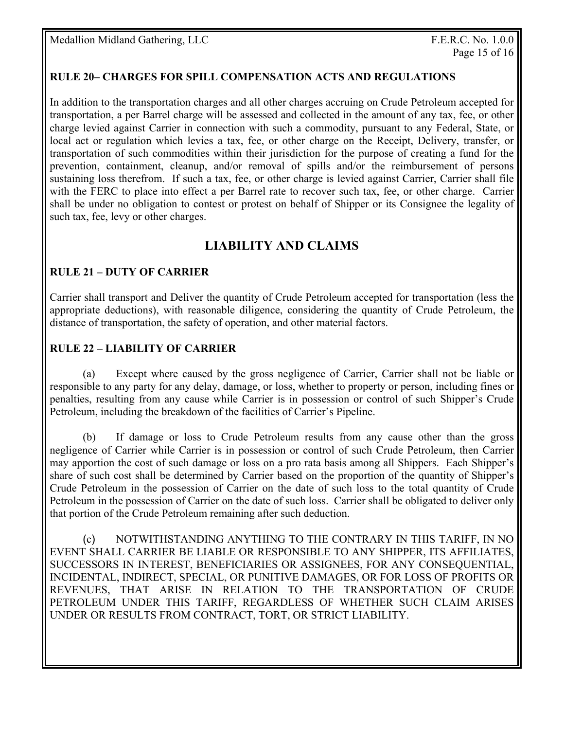### **RULE 20– CHARGES FOR SPILL COMPENSATION ACTS AND REGULATIONS**

In addition to the transportation charges and all other charges accruing on Crude Petroleum accepted for transportation, a per Barrel charge will be assessed and collected in the amount of any tax, fee, or other charge levied against Carrier in connection with such a commodity, pursuant to any Federal, State, or local act or regulation which levies a tax, fee, or other charge on the Receipt, Delivery, transfer, or transportation of such commodities within their jurisdiction for the purpose of creating a fund for the prevention, containment, cleanup, and/or removal of spills and/or the reimbursement of persons sustaining loss therefrom. If such a tax, fee, or other charge is levied against Carrier, Carrier shall file with the FERC to place into effect a per Barrel rate to recover such tax, fee, or other charge. Carrier shall be under no obligation to contest or protest on behalf of Shipper or its Consignee the legality of such tax, fee, levy or other charges.

# **LIABILITY AND CLAIMS**

#### **RULE 21 – DUTY OF CARRIER**

Carrier shall transport and Deliver the quantity of Crude Petroleum accepted for transportation (less the appropriate deductions), with reasonable diligence, considering the quantity of Crude Petroleum, the distance of transportation, the safety of operation, and other material factors.

#### **RULE 22 – LIABILITY OF CARRIER**

 (a) Except where caused by the gross negligence of Carrier, Carrier shall not be liable or responsible to any party for any delay, damage, or loss, whether to property or person, including fines or penalties, resulting from any cause while Carrier is in possession or control of such Shipper's Crude Petroleum, including the breakdown of the facilities of Carrier's Pipeline.

 (b) If damage or loss to Crude Petroleum results from any cause other than the gross negligence of Carrier while Carrier is in possession or control of such Crude Petroleum, then Carrier may apportion the cost of such damage or loss on a pro rata basis among all Shippers. Each Shipper's share of such cost shall be determined by Carrier based on the proportion of the quantity of Shipper's Crude Petroleum in the possession of Carrier on the date of such loss to the total quantity of Crude Petroleum in the possession of Carrier on the date of such loss. Carrier shall be obligated to deliver only that portion of the Crude Petroleum remaining after such deduction.

 (c) NOTWITHSTANDING ANYTHING TO THE CONTRARY IN THIS TARIFF, IN NO EVENT SHALL CARRIER BE LIABLE OR RESPONSIBLE TO ANY SHIPPER, ITS AFFILIATES, SUCCESSORS IN INTEREST, BENEFICIARIES OR ASSIGNEES, FOR ANY CONSEQUENTIAL, INCIDENTAL, INDIRECT, SPECIAL, OR PUNITIVE DAMAGES, OR FOR LOSS OF PROFITS OR REVENUES, THAT ARISE IN RELATION TO THE TRANSPORTATION OF CRUDE PETROLEUM UNDER THIS TARIFF, REGARDLESS OF WHETHER SUCH CLAIM ARISES UNDER OR RESULTS FROM CONTRACT, TORT, OR STRICT LIABILITY.